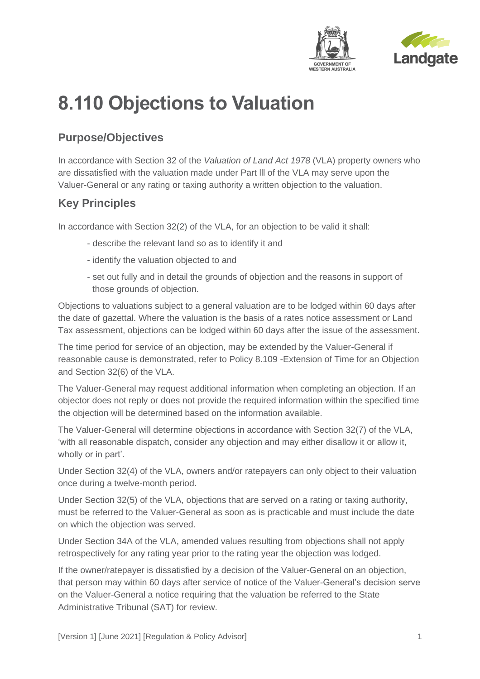



# **8.110 Objections to Valuation**

# **Purpose/Objectives**

In accordance with Section 32 of the *Valuation of Land Act 1978* (VLA) property owners who are dissatisfied with the valuation made under Part lll of the VLA may serve upon the Valuer-General or any rating or taxing authority a written objection to the valuation.

## **Key Principles**

In accordance with Section 32(2) of the VLA, for an objection to be valid it shall:

- describe the relevant land so as to identify it and
- identify the valuation objected to and
- set out fully and in detail the grounds of objection and the reasons in support of those grounds of objection.

Objections to valuations subject to a general valuation are to be lodged within 60 days after the date of gazettal. Where the valuation is the basis of a rates notice assessment or Land Tax assessment, objections can be lodged within 60 days after the issue of the assessment.

The time period for service of an objection, may be extended by the Valuer-General if reasonable cause is demonstrated, refer to Policy 8.109 -Extension of Time for an Objection and Section 32(6) of the VLA.

The Valuer-General may request additional information when completing an objection. If an objector does not reply or does not provide the required information within the specified time the objection will be determined based on the information available.

The Valuer-General will determine objections in accordance with Section 32(7) of the VLA, 'with all reasonable dispatch, consider any objection and may either disallow it or allow it, wholly or in part'.

Under Section 32(4) of the VLA, owners and/or ratepayers can only object to their valuation once during a twelve-month period.

Under Section 32(5) of the VLA, objections that are served on a rating or taxing authority, must be referred to the Valuer-General as soon as is practicable and must include the date on which the objection was served.

Under Section 34A of the VLA, amended values resulting from objections shall not apply retrospectively for any rating year prior to the rating year the objection was lodged.

If the owner/ratepayer is dissatisfied by a decision of the Valuer-General on an objection, that person may within 60 days after service of notice of the Valuer-General's decision serve on the Valuer-General a notice requiring that the valuation be referred to the State Administrative Tribunal (SAT) for review.